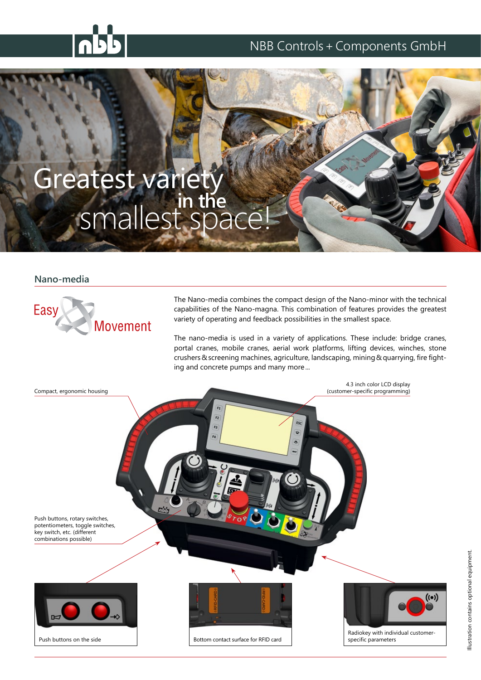### NBB Controls+Components GmbH

# Greatest variety smallest space! **in the**

#### **Nano-media**



The Nano-media combines the compact design of the Nano-minor with the technical capabilities of the Nano-magna. This combination of features provides the greatest variety of operating and feedback possibilities in the smallest space.

The nano-media is used in a variety of applications. These include: bridge cranes, portal cranes, mobile cranes, aerial work platforms, lifting devices, winches, stone crushers&screening machines, agriculture, landscaping, mining&quarrying, fire fighting and concrete pumps and many more...